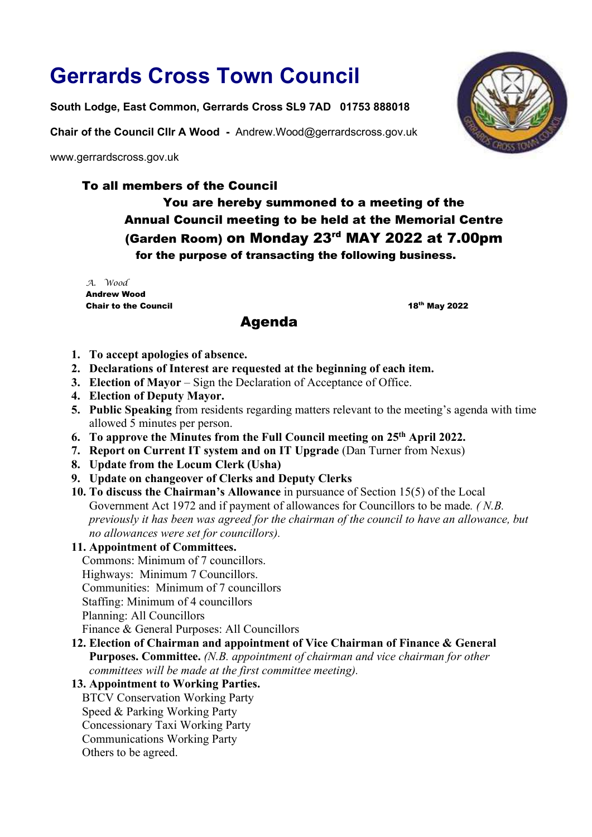# Gerrards Cross Town Council

South Lodge, East Common, Gerrards Cross SL9 7AD 01753 888018

Chair of the Council Cllr A Wood - Andrew.Wood@gerrardscross.gov.uk

www.gerrardscross.gov.uk

# To all members of the Council

You are hereby summoned to a meeting of the Annual Council meeting to be held at the Memorial Centre (Garden Room) on Monday 23rd MAY 2022 at 7.00pm for the purpose of transacting the following business.

A. Wood Andrew Wood Chair to the Council **18th May 2022** 

# Agenda

- 1. To accept apologies of absence.
- 2. Declarations of Interest are requested at the beginning of each item.
- 3. Election of Mayor Sign the Declaration of Acceptance of Office.
- 4. Election of Deputy Mayor.
- 5. Public Speaking from residents regarding matters relevant to the meeting's agenda with time allowed 5 minutes per person.
- 6. To approve the Minutes from the Full Council meeting on 25th April 2022.
- 7. Report on Current IT system and on IT Upgrade (Dan Turner from Nexus)
- 8. Update from the Locum Clerk (Usha)
- 9. Update on changeover of Clerks and Deputy Clerks
- 10. To discuss the Chairman's Allowance in pursuance of Section 15(5) of the Local Government Act 1972 and if payment of allowances for Councillors to be made. ( N.B. previously it has been was agreed for the chairman of the council to have an allowance, but no allowances were set for councillors).

### 11. Appointment of Committees.

Commons: Minimum of 7 councillors. Highways: Minimum 7 Councillors. Communities: Minimum of 7 councillors Staffing: Minimum of 4 councillors Planning: All Councillors Finance & General Purposes: All Councillors

12. Election of Chairman and appointment of Vice Chairman of Finance & General

Purposes. Committee. (N.B. appointment of chairman and vice chairman for other committees will be made at the first committee meeting).

## 13. Appointment to Working Parties.

BTCV Conservation Working Party Speed & Parking Working Party Concessionary Taxi Working Party Communications Working Party Others to be agreed.